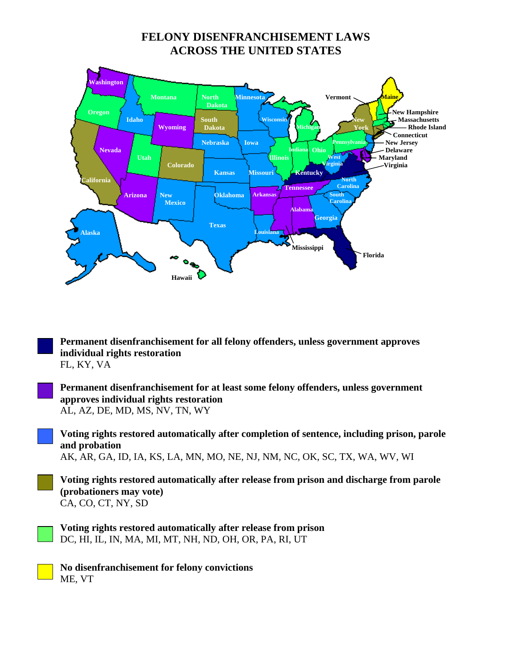## **FELONY DISENFRANCHISEMENT LAWS ACROSS THE UNITED STATES**



**Permanent disenfranchisement for all felony offenders, unless government approves individual rights restoration** FL, KY, VA

**Permanent disenfranchisement for at least some felony offenders, unless government approves individual rights restoration** AL, AZ, DE, MD, MS, NV, TN, WY

**Voting rights restored automatically after completion of sentence, including prison, parole and probation**  AK, AR, GA, ID, IA, KS, LA, MN, MO, NE, NJ, NM, NC, OK, SC, TX, WA, WV, WI

**Voting rights restored automatically after release from prison and discharge from parole (probationers may vote)**  CA, CO, CT, NY, SD

**Voting rights restored automatically after release from prison**  DC, HI, IL, IN, MA, MI, MT, NH, ND, OH, OR, PA, RI, UT

**No disenfranchisement for felony convictions**  ME, VT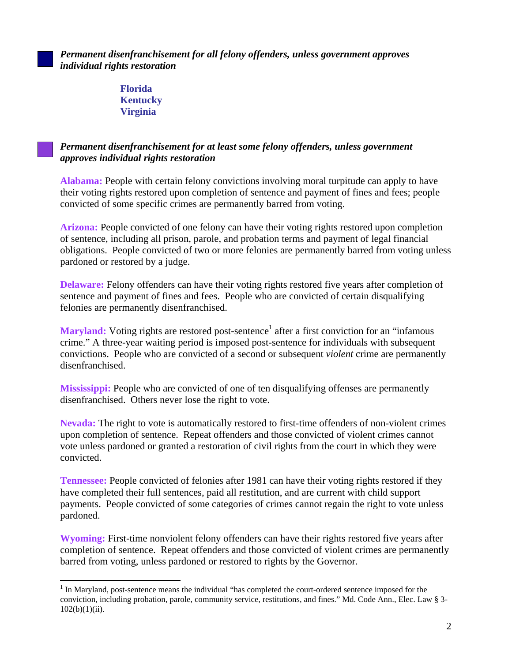*Permanent disenfranchisement for all felony offenders, unless government approves individual rights restoration*

> **Florida Kentucky Virginia**

 $\overline{a}$ 

## *Permanent disenfranchisement for at least some felony offenders, unless government approves individual rights restoration*

**Alabama:** People with certain felony convictions involving moral turpitude can apply to have their voting rights restored upon completion of sentence and payment of fines and fees; people convicted of some specific crimes are permanently barred from voting.

**Arizona:** People convicted of one felony can have their voting rights restored upon completion of sentence, including all prison, parole, and probation terms and payment of legal financial obligations. People convicted of two or more felonies are permanently barred from voting unless pardoned or restored by a judge.

**Delaware:** Felony offenders can have their voting rights restored five years after completion of sentence and payment of fines and fees. People who are convicted of certain disqualifying felonies are permanently disenfranchised.

Maryland: Voting rights are restored post-sentence<sup>[1](#page-1-0)</sup> after a first conviction for an "infamous crime." A three-year waiting period is imposed post-sentence for individuals with subsequent convictions. People who are convicted of a second or subsequent *violent* crime are permanently disenfranchised.

**Mississippi:** People who are convicted of one of ten disqualifying offenses are permanently disenfranchised. Others never lose the right to vote.

**Nevada:** The right to vote is automatically restored to first-time offenders of non-violent crimes upon completion of sentence. Repeat offenders and those convicted of violent crimes cannot vote unless pardoned or granted a restoration of civil rights from the court in which they were convicted.

**Tennessee:** People convicted of felonies after 1981 can have their voting rights restored if they have completed their full sentences, paid all restitution, and are current with child support payments. People convicted of some categories of crimes cannot regain the right to vote unless pardoned.

**Wyoming:** First-time nonviolent felony offenders can have their rights restored five years after completion of sentence. Repeat offenders and those convicted of violent crimes are permanently barred from voting, unless pardoned or restored to rights by the Governor.

<span id="page-1-0"></span><sup>&</sup>lt;sup>1</sup> In Maryland, post-sentence means the individual "has completed the court-ordered sentence imposed for the conviction, including probation, parole, community service, restitutions, and fines." Md. Code Ann., Elec. Law § 3-  $102(b)(1)(ii)$ .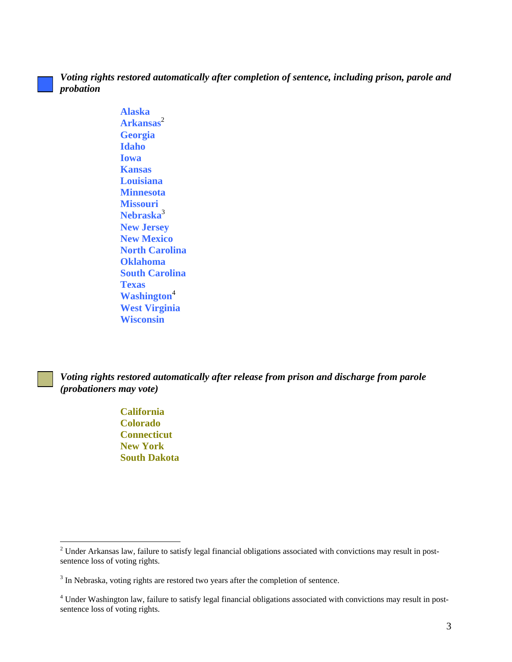## *Voting rights restored automatically after completion of sentence, including prison, parole and probation*

**Alaska Arkansas**[2](#page-2-0) **Georgia Idaho Iowa Kansas Louisiana Minnesota Missouri Nebraska**[3](#page-2-1) **New Jersey New Mexico North Carolina Oklahoma South Carolina Texas Washington**[4](#page-2-2) **West Virginia Wisconsin** 

*Voting rights restored automatically after release from prison and discharge from parole (probationers may vote)*

> **California Colorado Connecticut New York South Dakota**

 $\overline{a}$ 

<span id="page-2-0"></span> $2$  Under Arkansas law, failure to satisfy legal financial obligations associated with convictions may result in postsentence loss of voting rights.

<span id="page-2-1"></span> $3$  In Nebraska, voting rights are restored two years after the completion of sentence.

<span id="page-2-2"></span><sup>&</sup>lt;sup>4</sup> Under Washington law, failure to satisfy legal financial obligations associated with convictions may result in postsentence loss of voting rights.